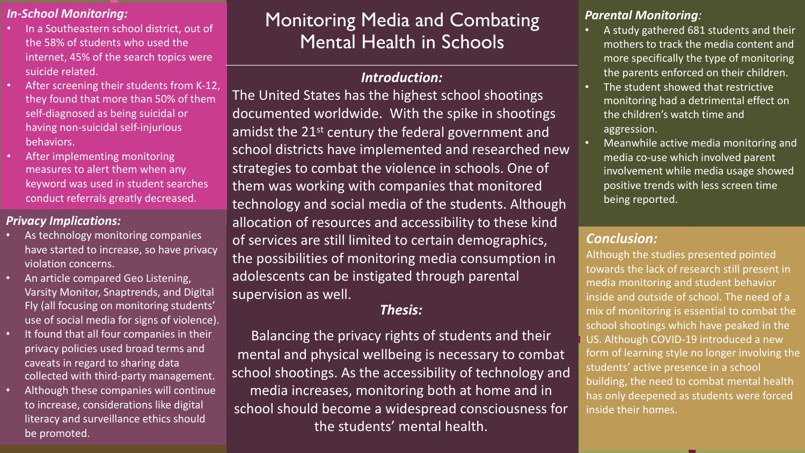### *In-School Monitoring:*

- In a Southeastern school district, out of the 58% of students who used the internet, 45% of the search topics were suicide related.
- After screening their students from K-12. they found that more than 50% of them self-diagnosed as being suicidal or having non-suicidal self-injurious behaviors.
- After implementing monitoring measures to alert them when any keyword was used in student searches conduct referrals greatly decreased.

### *Privacy Implications:*

- As technology monitoring companies have started to increase, so have privacy violation concerns.
- An article compared Geo Listening, Varsity Monitor, Snaptrends, and Digital Fly (all focusing on monitoring students' use of social media for signs of violence).
- It found that all four companies in their privacy policies used broad terms and caveats in regard to sharing data collected with third-party management.
- Although these companies will continue to increase, considerations like digital literacy and surveillance ethics should be promoted.

# Monitoring Media and Combating Mental Health in Schools

## *Introduction:*

The United States has the highest school shootings documented worldwide. With the spike in shootings amidst the 21<sup>st</sup> century the federal government and school districts have implemented and researched new strategies to combat the violence in schools. One of them was working with companies that monitored technology and social media of the students. Although allocation of resources and accessibility to these kind of services are still limited to certain demographics, the possibilities of monitoring media consumption in adolescents can be instigated through parental supervision as well.

## *Thesis:*

Balancing the privacy rights of students and their mental and physical wellbeing is necessary to combat school shootings. As the accessibility of technology and media increases, monitoring both at home and in school should become a widespread consciousness for the students' mental health.

### *Parental Monitoring:*

- A study gathered 681 students and their mothers to track the media content and more specifically the type of monitoring the parents enforced on their children.
- The student showed that restrictive monitoring had a detrimental effect on the children's watch time and aggression.
- Meanwhile active media monitoring and media co-use which involved parent involvement while media usage showed positive trends with less screen time being reported.

# *Conclusion:*

Although the studies presented pointed towards the lack of research still present in media monitoring and student behavior inside and outside of school. The need of a mix of monitoring is essential to combat the school shootings which have peaked in the US. Although COVID-19 introduced a new form of learning style no longer involving the students' active presence in a school building, the need to combat mental health has only deepened as students were forced inside their homes.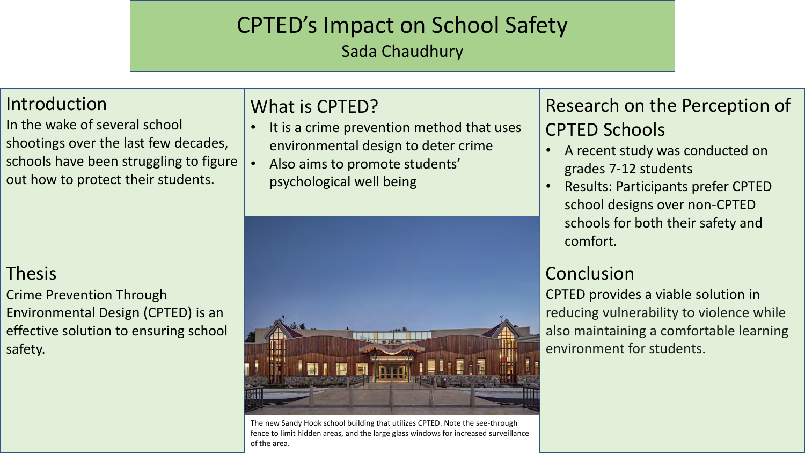# CPTED's Impact on School Safety

Sada Chaudhury

# Introduction

In the wake of several school shootings over the last few decades, schools have been struggling to figure out how to protect their students.

# What is CPTED?

- It is a crime prevention method that uses environmental design to deter crime
- Also aims to promote students' psychological well being



- A recent study was conducted on grades 7-12 students
- Results: Participants prefer CPTED school designs over non-CPTED schools for both their safety and comfort.

# Conclusion

CPTED provides a viable solution in reducing vulnerability to violence while also maintaining a comfortable learning environment for students.

# Thesis

Crime Prevention Through Environmental Design (CPTED) is an effective solution to ensuring school safety.



The new Sandy Hook school building that utilizes CPTED. Note the see-through fence to limit hidden areas, and the large glass windows for increased surveillance of the area.